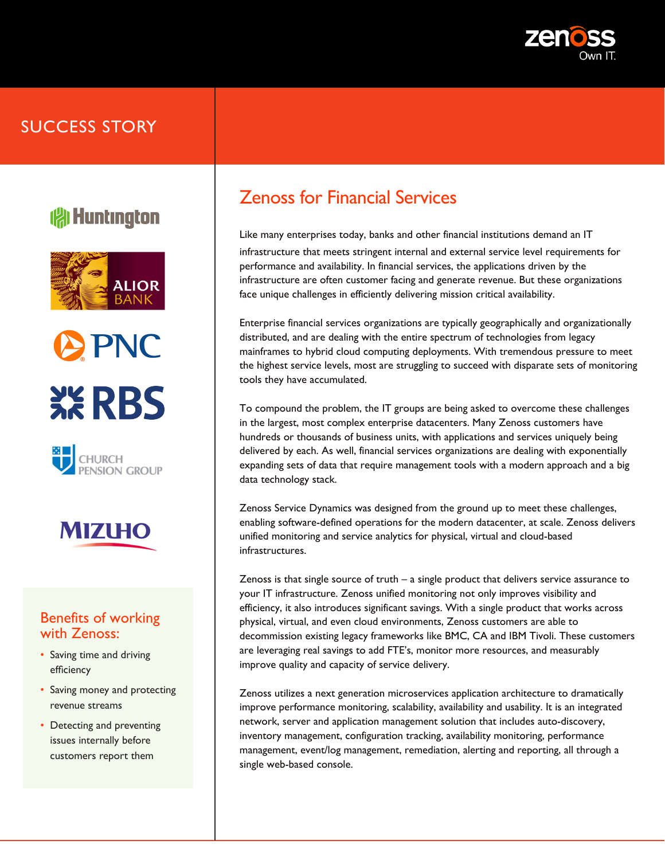

## SUCCESS STORY

# **( Huntington**









### Benefits of working with Zenoss:

- Saving time and driving efficiency
- Saving money and protecting revenue streams
- Detecting and preventing issues internally before customers report them

# Zenoss for Financial Services

Like many enterprises today, banks and other financial institutions demand an IT infrastructure that meets stringent internal and external service level requirements for performance and availability. In financial services, the applications driven by the infrastructure are often customer facing and generate revenue. But these organizations face unique challenges in efficiently delivering mission critical availability.

Enterprise financial services organizations are typically geographically and organizationally distributed, and are dealing with the entire spectrum of technologies from legacy mainframes to hybrid cloud computing deployments. With tremendous pressure to meet the highest service levels, most are struggling to succeed with disparate sets of monitoring tools they have accumulated.

To compound the problem, the IT groups are being asked to overcome these challenges in the largest, most complex enterprise datacenters. Many Zenoss customers have hundreds or thousands of business units, with applications and services uniquely being delivered by each. As well, financial services organizations are dealing with exponentially expanding sets of data that require management tools with a modern approach and a big data technology stack.

Zenoss Service Dynamics was designed from the ground up to meet these challenges, enabling software-defined operations for the modern datacenter, at scale. Zenoss delivers unified monitoring and service analytics for physical, virtual and cloud-based infrastructures.

Zenoss is that single source of truth – a single product that delivers service assurance to your IT infrastructure. Zenoss unified monitoring not only improves visibility and efficiency, it also introduces significant savings. With a single product that works across physical, virtual, and even cloud environments, Zenoss customers are able to decommission existing legacy frameworks like BMC, CA and IBM Tivoli. These customers are leveraging real savings to add FTE's, monitor more resources, and measurably improve quality and capacity of service delivery.

Zenoss utilizes a next generation microservices application architecture to dramatically improve performance monitoring, scalability, availability and usability. It is an integrated network, server and application management solution that includes auto-discovery, inventory management, configuration tracking, availability monitoring, performance management, event/log management, remediation, alerting and reporting, all through a single web-based console.